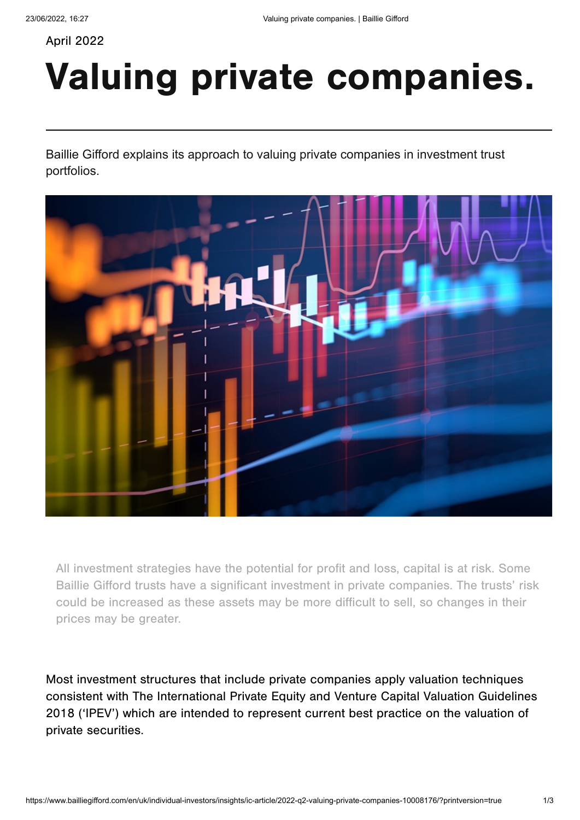April 2022

## Valuing private companies.

Baillie Gifford explains its approach to valuing private companies in investment trust portfolios.



All investment strategies have the potential for profit and loss, capital is at risk. Some Baillie Gifford trusts have a significant investment in private companies. The trusts' risk could be increased as these assets may be more difficult to sell, so changes in their prices may be greater.

Most investment structures that include private companies apply valuation techniques consistent with The International Private Equity and Venture Capital Valuation Guidelines 2018 ('IPEV') which are intended to represent current best practice on the valuation of private securities.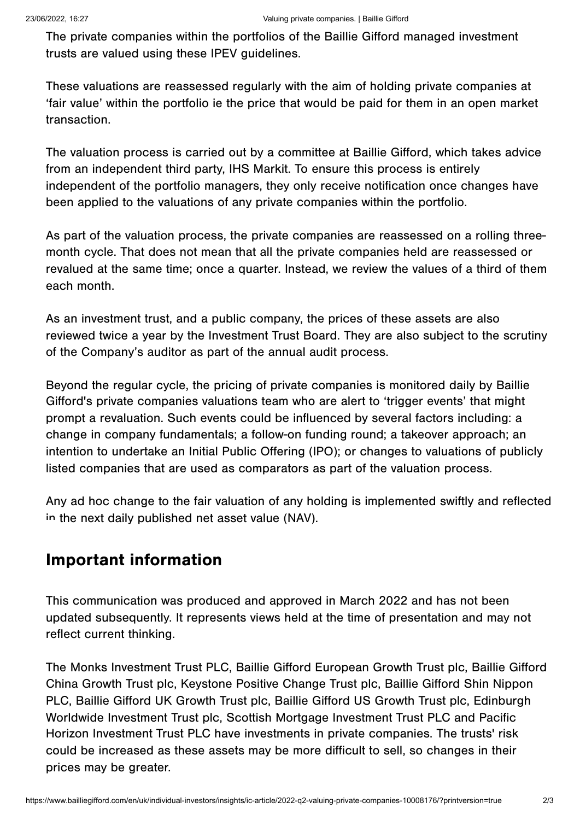The private companies within the portfolios of the Baillie Gifford managed investment trusts are valued using these IPEV guidelines.

These valuations are reassessed regularly with the aim of holding private companies at 'fair value' within the portfolio ie the price that would be paid for them in an open market transaction.

The valuation process is carried out by a committee at Baillie Gifford, which takes advice from an independent third party, IHS Markit. To ensure this process is entirely independent of the portfolio managers, they only receive notification once changes have been applied to the valuations of any private companies within the portfolio.

As part of the valuation process, the private companies are reassessed on a rolling threemonth cycle. That does not mean that all the private companies held are reassessed or revalued at the same time; once a quarter. Instead, we review the values of a third of them each month.

As an investment trust, and a public company, the prices of these assets are also reviewed twice a year by the Investment Trust Board. They are also subject to the scrutiny of the Company's auditor as part of the annual audit process.

Beyond the regular cycle, the pricing of private companies is monitored daily by Baillie Gifford's private companies valuations team who are alert to 'trigger events' that might prompt a revaluation. Such events could be influenced by several factors including: a change in company fundamentals; a follow-on funding round; a takeover approach; an intention to undertake an Initial Public Offering (IPO); or changes to valuations of publicly listed companies that are used as comparators as part of the valuation process.

Any ad hoc change to the fair valuation of any holding is implemented swiftly and reflected in the next daily published net asset value (NAV).

## Important information

This communication was produced and approved in March 2022 and has not been updated subsequently. It represents views held at the time of presentation and may not reflect current thinking.

The Monks Investment Trust PLC, Baillie Gifford European Growth Trust plc, Baillie Gifford China Growth Trust plc, Keystone Positive Change Trust plc, Baillie Gifford Shin Nippon PLC, Baillie Gifford UK Growth Trust plc, Baillie Gifford US Growth Trust plc, Edinburgh Worldwide Investment Trust plc, Scottish Mortgage Investment Trust PLC and Pacific Horizon Investment Trust PLC have investments in private companies. The trusts' risk could be increased as these assets may be more difficult to sell, so changes in their prices may be greater.